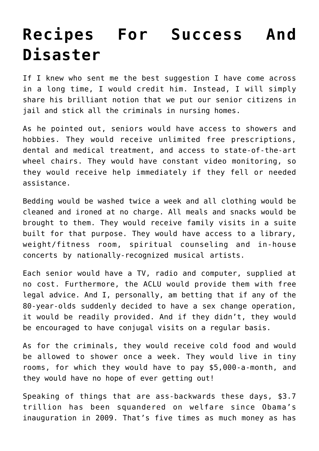## **[Recipes For Success And](https://bernardgoldberg.com/scheduled-4/) [Disaster](https://bernardgoldberg.com/scheduled-4/)**

If I knew who sent me the best suggestion I have come across in a long time, I would credit him. Instead, I will simply share his brilliant notion that we put our senior citizens in jail and stick all the criminals in nursing homes.

As he pointed out, seniors would have access to showers and hobbies. They would receive unlimited free prescriptions, dental and medical treatment, and access to state-of-the-art wheel chairs. They would have constant video monitoring, so they would receive help immediately if they fell or needed assistance.

Bedding would be washed twice a week and all clothing would be cleaned and ironed at no charge. All meals and snacks would be brought to them. They would receive family visits in a suite built for that purpose. They would have access to a library, weight/fitness room, spiritual counseling and in-house concerts by nationally-recognized musical artists.

Each senior would have a TV, radio and computer, supplied at no cost. Furthermore, the ACLU would provide them with free legal advice. And I, personally, am betting that if any of the 80-year-olds suddenly decided to have a sex change operation, it would be readily provided. And if they didn't, they would be encouraged to have conjugal visits on a regular basis.

As for the criminals, they would receive cold food and would be allowed to shower once a week. They would live in tiny rooms, for which they would have to pay \$5,000-a-month, and they would have no hope of ever getting out!

Speaking of things that are ass-backwards these days, \$3.7 trillion has been squandered on welfare since Obama's inauguration in 2009. That's five times as much money as has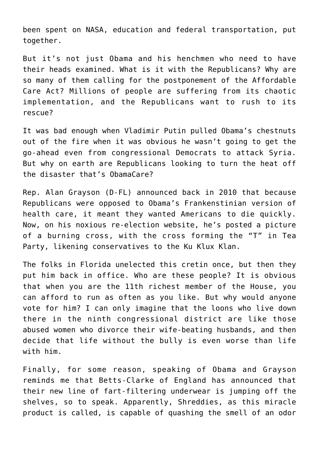been spent on NASA, education and federal transportation, put together.

But it's not just Obama and his henchmen who need to have their heads examined. What is it with the Republicans? Why are so many of them calling for the postponement of the Affordable Care Act? Millions of people are suffering from its chaotic implementation, and the Republicans want to rush to its rescue?

It was bad enough when Vladimir Putin pulled Obama's chestnuts out of the fire when it was obvious he wasn't going to get the go-ahead even from congressional Democrats to attack Syria. But why on earth are Republicans looking to turn the heat off the disaster that's ObamaCare?

Rep. Alan Grayson (D-FL) announced back in 2010 that because Republicans were opposed to Obama's Frankenstinian version of health care, it meant they wanted Americans to die quickly. Now, on his noxious re-election website, he's posted a picture of a burning cross, with the cross forming the "T" in Tea Party, likening conservatives to the Ku Klux Klan.

The folks in Florida unelected this cretin once, but then they put him back in office. Who are these people? It is obvious that when you are the 11th richest member of the House, you can afford to run as often as you like. But why would anyone vote for him? I can only imagine that the loons who live down there in the ninth congressional district are like those abused women who divorce their wife-beating husbands, and then decide that life without the bully is even worse than life with him.

Finally, for some reason, speaking of Obama and Grayson reminds me that Betts-Clarke of England has announced that their new line of fart-filtering underwear is jumping off the shelves, so to speak. Apparently, Shreddies, as this miracle product is called, is capable of quashing the smell of an odor